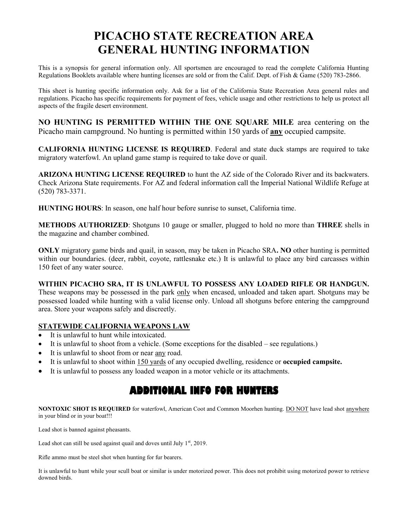# **PICACHO STATE RECREATION AREA GENERAL HUNTING INFORMATION**

This is a synopsis for general information only. All sportsmen are encouraged to read the complete California Hunting Regulations Booklets available where hunting licenses are sold or from the Calif. Dept. of Fish & Game (520) 783-2866.

This sheet is hunting specific information only. Ask for a list of the California State Recreation Area general rules and regulations. Picacho has specific requirements for payment of fees, vehicle usage and other restrictions to help us protect all aspects of the fragile desert environment.

**NO HUNTING IS PERMITTED WITHIN THE ONE SQUARE MILE** area centering on the Picacho main campground. No hunting is permitted within 150 yards of **any** occupied campsite.

**CALIFORNIA HUNTING LICENSE IS REQUIRED**. Federal and state duck stamps are required to take migratory waterfowl. An upland game stamp is required to take dove or quail.

**ARIZONA HUNTING LICENSE REQUIRED** to hunt the AZ side of the Colorado River and its backwaters. Check Arizona State requirements. For AZ and federal information call the Imperial National Wildlife Refuge at (520) 783-3371.

**HUNTING HOURS**: In season, one half hour before sunrise to sunset, California time.

**METHODS AUTHORIZED**: Shotguns 10 gauge or smaller, plugged to hold no more than **THREE** shells in the magazine and chamber combined.

**ONLY** migratory game birds and quail, in season, may be taken in Picacho SRA**. NO** other hunting is permitted within our boundaries. (deer, rabbit, covote, rattlesnake etc.) It is unlawful to place any bird carcasses within 150 feet of any water source.

#### **WITHIN PICACHO SRA, IT IS UNLAWFUL TO POSSESS ANY LOADED RIFLE OR HANDGUN.**

These weapons may be possessed in the park only when encased, unloaded and taken apart. Shotguns may be possessed loaded while hunting with a valid license only. Unload all shotguns before entering the campground area. Store your weapons safely and discreetly.

#### **STATEWIDE CALIFORNIA WEAPONS LAW**

- It is unlawful to hunt while intoxicated.
- It is unlawful to shoot from a vehicle. (Some exceptions for the disabled see regulations.)
- It is unlawful to shoot from or near any road.
- It is unlawful to shoot within 150 yards of any occupied dwelling, residence or **occupied campsite.**
- It is unlawful to possess any loaded weapon in a motor vehicle or its attachments.

## **ADDITIONAL INFO FOR HUNTERS**

**NONTOXIC SHOT IS REQUIRED** for waterfowl, American Coot and Common Moorhen hunting. DO NOT have lead shot anywhere in your blind or in your boat!!!

Lead shot is banned against pheasants.

Lead shot can still be used against quail and doves until July  $1<sup>st</sup>$ , 2019.

Rifle ammo must be steel shot when hunting for fur bearers.

It is unlawful to hunt while your scull boat or similar is under motorized power. This does not prohibit using motorized power to retrieve downed birds.